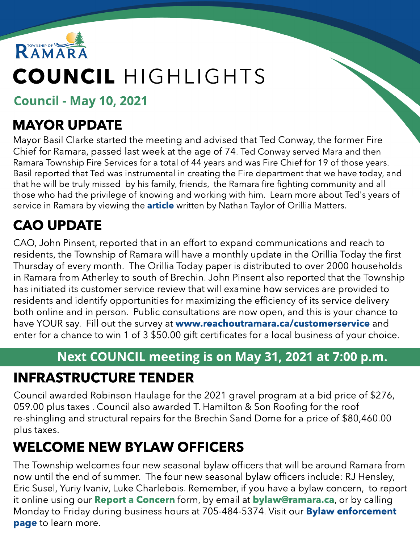

# COUNCIL HIGHLIGHTS

Council - May 10, 2021

#### MAYOR UPDATE

Mayor Basil Clarke started the meeting and advised that Ted Conway, the former Fire Chief for Ramara, passed last week at the age of 74. Ted Conway served Mara and then Ramara Township Fire Services for a total of 44 years and was Fire Chief for 19 of those years. Basil reported that Ted was instrumental in creating the Fire department that we have today, and that he will be truly missed by his family, friends, the Ramara fire fighting community and all those who had the privilege of knowing and working with him. Learn more about Ted's years of service in Ramara by viewing the **[article](https://www.orilliamatters.com/local-news/ramara-mouns-loss-of-well-respected-fire-chief-ted-conway-3757002)** written by Nathan Taylor of Orillia Matters.

# CAO UPDATE

CAO, John Pinsent, reported that in an effort to expand communications and reach to residents, the Township of Ramara will have a monthly update in the Orillia Today the first Thursday of every month. The Orillia Today paper is distributed to over 2000 households in Ramara from Atherley to south of Brechin. John Pinsent also reported that the Township has initiated its customer service review that will examine how services are provided to residents and identify opportunities for maximizing the efficiency of its service delivery both online and in person. Public consultations are now open, and this is your chance to have YOUR say. Fill out the survey at www.reachoutramara.ca/customerservice and enter for a chance to win 1 of 3 \$50.00 gift certificates for a local business of your choice.

#### Next COUNCIL meeting is on May 31, 2021 at 7:00 p.m.

#### INFRASTRUCTURE TENDER

Council awarded Robinson Haulage for the 2021 gravel program at a bid price of \$276, 059.00 plus taxes . Council also awarded T. Hamilton & Son Roofing for the roof re-shingling and structural repairs for the Brechin Sand Dome for a price of \$80,460.00 plus taxes.

#### WELCOME NEW BYLAW OFFICERS

The Township welcomes four new seasonal bylaw officers that will be around Ramara from now until the end of summer. The four new seasonal bylaw officers include: RJ Hensley, Eric Susel, Yuriy Ivaniv, Luke Charlebois. Remember, if you have a bylaw concern, to report it online using our **[Report](https://forms.ramara.ca/Community-Feedback/Report-a-Concern) [a](https://forms.ramara.ca/Community-Feedback/Report-a-Concern) [Concern](https://forms.ramara.ca/Community-Feedback/Report-a-Concern)** form, by email at **[bylaw@ramara.ca](mailto:bylaw@ramara.ca)**, or by calling Monday to Friday during business hours at 705-484-5374. Visit our **[Bylaw](https://www.ramara.ca/en/municipal-office/bylaw-enforcement.aspx?_mid_=64407) [enforcement](https://www.ramara.ca/en/municipal-office/bylaw-enforcement.aspx?_mid_=64407)** [page](https://www.ramara.ca/en/municipal-office/bylaw-enforcement.aspx?_mid_=64407) to learn more.